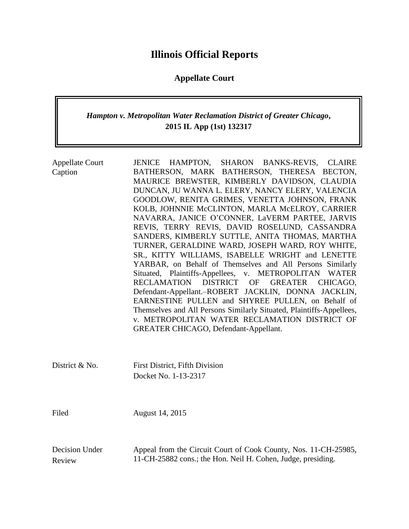# **Illinois Official Reports**

## **Appellate Court**

## *Hampton v. Metropolitan Water Reclamation District of Greater Chicago***, 2015 IL App (1st) 132317**

| <b>Appellate Court</b><br>Caption | HAMPTON, SHARON BANKS-REVIS, CLAIRE<br><b>JENICE</b><br>BATHERSON, MARK BATHERSON, THERESA BECTON,<br>MAURICE BREWSTER, KIMBERLY DAVIDSON, CLAUDIA<br>DUNCAN, JU WANNA L. ELERY, NANCY ELERY, VALENCIA<br>GOODLOW, RENITA GRIMES, VENETTA JOHNSON, FRANK<br>KOLB, JOHNNIE McCLINTON, MARLA McELROY, CARRIER<br>NAVARRA, JANICE O'CONNER, LaVERM PARTEE, JARVIS<br>REVIS, TERRY REVIS, DAVID ROSELUND, CASSANDRA<br>SANDERS, KIMBERLY SUTTLE, ANITA THOMAS, MARTHA<br>TURNER, GERALDINE WARD, JOSEPH WARD, ROY WHITE,<br>SR., KITTY WILLIAMS, ISABELLE WRIGHT and LENETTE<br>YARBAR, on Behalf of Themselves and All Persons Similarly<br>Situated, Plaintiffs-Appellees, v. METROPOLITAN WATER<br>RECLAMATION<br>DISTRICT<br><b>OF</b><br><b>GREATER</b><br>CHICAGO,<br>Defendant-Appellant.-ROBERT JACKLIN, DONNA JACKLIN,<br>EARNESTINE PULLEN and SHYREE PULLEN, on Behalf of<br>Themselves and All Persons Similarly Situated, Plaintiffs-Appellees,<br>v. METROPOLITAN WATER RECLAMATION DISTRICT OF<br><b>GREATER CHICAGO, Defendant-Appellant.</b> |
|-----------------------------------|-----------------------------------------------------------------------------------------------------------------------------------------------------------------------------------------------------------------------------------------------------------------------------------------------------------------------------------------------------------------------------------------------------------------------------------------------------------------------------------------------------------------------------------------------------------------------------------------------------------------------------------------------------------------------------------------------------------------------------------------------------------------------------------------------------------------------------------------------------------------------------------------------------------------------------------------------------------------------------------------------------------------------------------------------------------|
| District & No.                    | <b>First District, Fifth Division</b><br>Docket No. 1-13-2317                                                                                                                                                                                                                                                                                                                                                                                                                                                                                                                                                                                                                                                                                                                                                                                                                                                                                                                                                                                             |
| Filed                             | August 14, 2015                                                                                                                                                                                                                                                                                                                                                                                                                                                                                                                                                                                                                                                                                                                                                                                                                                                                                                                                                                                                                                           |
| Decision Under<br>Review          | Appeal from the Circuit Court of Cook County, Nos. 11-CH-25985,<br>11-CH-25882 cons.; the Hon. Neil H. Cohen, Judge, presiding.                                                                                                                                                                                                                                                                                                                                                                                                                                                                                                                                                                                                                                                                                                                                                                                                                                                                                                                           |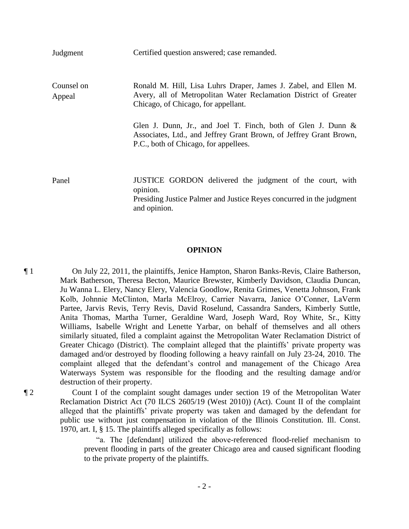| Judgment             | Certified question answered; case remanded.                                                                                                                                    |
|----------------------|--------------------------------------------------------------------------------------------------------------------------------------------------------------------------------|
| Counsel on<br>Appeal | Ronald M. Hill, Lisa Luhrs Draper, James J. Zabel, and Ellen M.<br>Avery, all of Metropolitan Water Reclamation District of Greater<br>Chicago, of Chicago, for appellant.     |
|                      | Glen J. Dunn, Jr., and Joel T. Finch, both of Glen J. Dunn $\&$<br>Associates, Ltd., and Jeffrey Grant Brown, of Jeffrey Grant Brown,<br>P.C., both of Chicago, for appellees. |
| Panel                | JUSTICE GORDON delivered the judgment of the court, with<br>opinion.                                                                                                           |

Presiding Justice Palmer and Justice Reyes concurred in the judgment and opinion.

#### **OPINION**

¶ 1 On July 22, 2011, the plaintiffs, Jenice Hampton, Sharon Banks-Revis, Claire Batherson, Mark Batherson, Theresa Becton, Maurice Brewster, Kimberly Davidson, Claudia Duncan, Ju Wanna L. Elery, Nancy Elery, Valencia Goodlow, Renita Grimes, Venetta Johnson, Frank Kolb, Johnnie McClinton, Marla McElroy, Carrier Navarra, Janice O'Conner, LaVerm Partee, Jarvis Revis, Terry Revis, David Roselund, Cassandra Sanders, Kimberly Suttle, Anita Thomas, Martha Turner, Geraldine Ward, Joseph Ward, Roy White, Sr., Kitty Williams, Isabelle Wright and Lenette Yarbar, on behalf of themselves and all others similarly situated, filed a complaint against the Metropolitan Water Reclamation District of Greater Chicago (District). The complaint alleged that the plaintiffs' private property was damaged and/or destroyed by flooding following a heavy rainfall on July 23-24, 2010. The complaint alleged that the defendant's control and management of the Chicago Area Waterways System was responsible for the flooding and the resulting damage and/or destruction of their property.

¶ 2 Count I of the complaint sought damages under section 19 of the Metropolitan Water Reclamation District Act (70 ILCS 2605/19 (West 2010)) (Act). Count II of the complaint alleged that the plaintiffs' private property was taken and damaged by the defendant for public use without just compensation in violation of the Illinois Constitution. Ill. Const. 1970, art. I, § 15. The plaintiffs alleged specifically as follows:

> "a. The [defendant] utilized the above-referenced flood-relief mechanism to prevent flooding in parts of the greater Chicago area and caused significant flooding to the private property of the plaintiffs.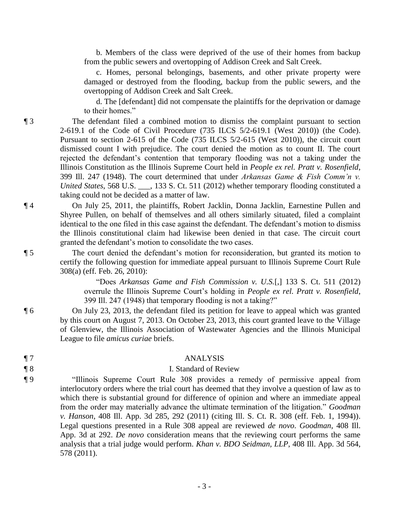b. Members of the class were deprived of the use of their homes from backup from the public sewers and overtopping of Addison Creek and Salt Creek.

 c. Homes, personal belongings, basements, and other private property were damaged or destroyed from the flooding, backup from the public sewers, and the overtopping of Addison Creek and Salt Creek.

 d. The [defendant] did not compensate the plaintiffs for the deprivation or damage to their homes."

¶ 3 The defendant filed a combined motion to dismiss the complaint pursuant to section 2-619.1 of the Code of Civil Procedure (735 ILCS 5/2-619.1 (West 2010)) (the Code). Pursuant to section 2-615 of the Code (735 ILCS 5/2-615 (West 2010)), the circuit court dismissed count I with prejudice. The court denied the motion as to count II. The court rejected the defendant's contention that temporary flooding was not a taking under the Illinois Constitution as the Illinois Supreme Court held in *People ex rel. Pratt v. Rosenfield*, 399 Ill. 247 (1948). The court determined that under *Arkansas Game & Fish Comm'n v. United States*, 568 U.S. \_\_\_, 133 S. Ct. 511 (2012) whether temporary flooding constituted a taking could not be decided as a matter of law.

¶ 4 On July 25, 2011, the plaintiffs, Robert Jacklin, Donna Jacklin, Earnestine Pullen and Shyree Pullen, on behalf of themselves and all others similarly situated, filed a complaint identical to the one filed in this case against the defendant. The defendant's motion to dismiss the Illinois constitutional claim had likewise been denied in that case. The circuit court granted the defendant's motion to consolidate the two cases.

¶ 5 The court denied the defendant's motion for reconsideration, but granted its motion to certify the following question for immediate appeal pursuant to Illinois Supreme Court Rule 308(a) (eff. Feb. 26, 2010):

> "Does *Arkansas Game and Fish Commission v. U.S.*[,] 133 S. Ct. 511 (2012) overrule the Illinois Supreme Court's holding in *People ex rel. Pratt v. Rosenfield*, 399 Ill. 247 (1948) that temporary flooding is not a taking?"

¶ 6 On July 23, 2013, the defendant filed its petition for leave to appeal which was granted by this court on August 7, 2013. On October 23, 2013, this court granted leave to the Village of Glenview, the Illinois Association of Wastewater Agencies and the Illinois Municipal League to file *amicus curiae* briefs.

#### ¶ 7 ANALYSIS

### ¶ 8 I. Standard of Review

¶ 9 "Illinois Supreme Court Rule 308 provides a remedy of permissive appeal from interlocutory orders where the trial court has deemed that they involve a question of law as to which there is substantial ground for difference of opinion and where an immediate appeal from the order may materially advance the ultimate termination of the litigation." *Goodman v. Hanson*, 408 Ill. App. 3d 285, 292 (2011) (citing Ill. S. Ct. R. 308 (eff. Feb. 1, 1994)). Legal questions presented in a Rule 308 appeal are reviewed *de novo*. *Goodman*, 408 Ill. App. 3d at 292. *De novo* consideration means that the reviewing court performs the same analysis that a trial judge would perform. *Khan v. BDO Seidman, LLP*, 408 Ill. App. 3d 564, 578 (2011).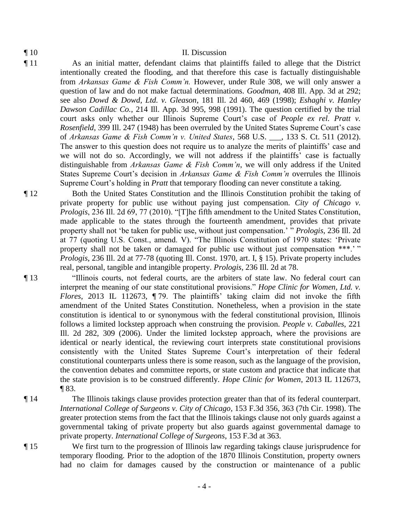### ¶ 10 II. Discussion

- ¶ 11 As an initial matter, defendant claims that plaintiffs failed to allege that the District intentionally created the flooding, and that therefore this case is factually distinguishable from *Arkansas Game & Fish Comm'n.* However, under Rule 308, we will only answer a question of law and do not make factual determinations. *Goodman*, 408 Ill. App. 3d at 292; see also *Dowd & Dowd, Ltd. v. Gleason*, 181 Ill. 2d 460, 469 (1998); *Eshaghi v. Hanley Dawson Cadillac Co.*, 214 Ill. App. 3d 995, 998 (1991). The question certified by the trial court asks only whether our Illinois Supreme Court's case of *People ex rel. Pratt v. Rosenfield*, 399 Ill. 247 (1948) has been overruled by the United States Supreme Court's case of *Arkansas Game & Fish Comm'n v. United States*, 568 U.S. \_\_\_, 133 S. Ct. 511 (2012). The answer to this question does not require us to analyze the merits of plaintiffs' case and we will not do so. Accordingly, we will not address if the plaintiffs' case is factually distinguishable from *Arkansas Game & Fish Comm'n*, we will only address if the United States Supreme Court's decision in *Arkansas Game & Fish Comm'n* overrules the Illinois Supreme Court's holding in *Pratt* that temporary flooding can never constitute a taking.
- ¶ 12 Both the United States Constitution and the Illinois Constitution prohibit the taking of private property for public use without paying just compensation. *City of Chicago v. Prologis*, 236 Ill. 2d 69, 77 (2010). "[T]he fifth amendment to the United States Constitution, made applicable to the states through the fourteenth amendment, provides that private property shall not 'be taken for public use, without just compensation.' " *Prologis*, 236 Ill. 2d at 77 (quoting U.S. Const., amend. V). "The Illinois Constitution of 1970 states: 'Private property shall not be taken or damaged for public use without just compensation \*\*\*.' " *Prologis*, 236 Ill. 2d at 77-78 (quoting Ill. Const. 1970, art. I, § 15). Private property includes real, personal, tangible and intangible property. *Prologis*, 236 Ill. 2d at 78.
- ¶ 13 "Illinois courts, not federal courts, are the arbiters of state law. No federal court can interpret the meaning of our state constitutional provisions." *Hope Clinic for Women, Ltd. v. Flores*, 2013 IL 112673, ¶ 79. The plaintiffs' taking claim did not invoke the fifth amendment of the United States Constitution. Nonetheless, when a provision in the state constitution is identical to or synonymous with the federal constitutional provision, Illinois follows a limited lockstep approach when construing the provision. *People v. Caballes*, 221 Ill. 2d 282, 309 (2006). Under the limited lockstep approach, where the provisions are identical or nearly identical, the reviewing court interprets state constitutional provisions consistently with the United States Supreme Court's interpretation of their federal constitutional counterparts unless there is some reason, such as the language of the provision, the convention debates and committee reports, or state custom and practice that indicate that the state provision is to be construed differently. *Hope Clinic for Women*, 2013 IL 112673, ¶ 83.
- ¶ 14 The Illinois takings clause provides protection greater than that of its federal counterpart. *International College of Surgeons v. City of Chicago*, 153 F.3d 356, 363 (7th Cir. 1998). The greater protection stems from the fact that the Illinois takings clause not only guards against a governmental taking of private property but also guards against governmental damage to private property. *International College of Surgeons*, 153 F.3d at 363.

¶ 15 We first turn to the progression of Illinois law regarding takings clause jurisprudence for temporary flooding. Prior to the adoption of the 1870 Illinois Constitution, property owners had no claim for damages caused by the construction or maintenance of a public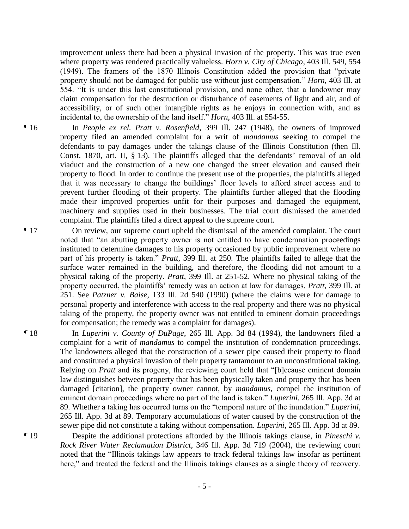improvement unless there had been a physical invasion of the property. This was true even where property was rendered practically valueless. *Horn v. City of Chicago*, 403 Ill. 549, 554 (1949). The framers of the 1870 Illinois Constitution added the provision that "private property should not be damaged for public use without just compensation." *Horn*, 403 Ill. at 554. "It is under this last constitutional provision, and none other, that a landowner may claim compensation for the destruction or disturbance of easements of light and air, and of accessibility, or of such other intangible rights as he enjoys in connection with, and as incidental to, the ownership of the land itself." *Horn*, 403 Ill. at 554-55.

- ¶ 16 In *People ex rel. Pratt v. Rosenfield*, 399 Ill. 247 (1948), the owners of improved property filed an amended complaint for a writ of *mandamus* seeking to compel the defendants to pay damages under the takings clause of the Illinois Constitution (then Ill. Const. 1870, art. II, § 13). The plaintiffs alleged that the defendants' removal of an old viaduct and the construction of a new one changed the street elevation and caused their property to flood. In order to continue the present use of the properties, the plaintiffs alleged that it was necessary to change the buildings' floor levels to afford street access and to prevent further flooding of their property. The plaintiffs further alleged that the flooding made their improved properties unfit for their purposes and damaged the equipment, machinery and supplies used in their businesses. The trial court dismissed the amended complaint. The plaintiffs filed a direct appeal to the supreme court.
- ¶ 17 On review, our supreme court upheld the dismissal of the amended complaint. The court noted that "an abutting property owner is not entitled to have condemnation proceedings instituted to determine damages to his property occasioned by public improvement where no part of his property is taken." *Pratt*, 399 Ill. at 250. The plaintiffs failed to allege that the surface water remained in the building, and therefore, the flooding did not amount to a physical taking of the property. *Pratt*, 399 Ill. at 251-52. Where no physical taking of the property occurred, the plaintiffs' remedy was an action at law for damages. *Pratt*, 399 Ill. at 251. See *Patzner v. Baise*, 133 Ill. 2d 540 (1990) (where the claims were for damage to personal property and interference with access to the real property and there was no physical taking of the property, the property owner was not entitled to eminent domain proceedings for compensation; the remedy was a complaint for damages).
- ¶ 18 In *Luperini v. County of DuPage*, 265 Ill. App. 3d 84 (1994), the landowners filed a complaint for a writ of *mandamus* to compel the institution of condemnation proceedings. The landowners alleged that the construction of a sewer pipe caused their property to flood and constituted a physical invasion of their property tantamount to an unconstitutional taking. Relying on *Pratt* and its progeny, the reviewing court held that "[b]ecause eminent domain law distinguishes between property that has been physically taken and property that has been damaged [citation], the property owner cannot, by *mandamus*, compel the institution of eminent domain proceedings where no part of the land is taken." *Luperini*, 265 Ill. App. 3d at 89. Whether a taking has occurred turns on the "temporal nature of the inundation." *Luperini*, 265 Ill. App. 3d at 89. Temporary accumulations of water caused by the construction of the sewer pipe did not constitute a taking without compensation. *Luperini*, 265 Ill. App. 3d at 89.
- ¶ 19 Despite the additional protections afforded by the Illinois takings clause, in *Pineschi v. Rock River Water Reclamation District*, 346 Ill. App. 3d 719 (2004), the reviewing court noted that the "Illinois takings law appears to track federal takings law insofar as pertinent here," and treated the federal and the Illinois takings clauses as a single theory of recovery.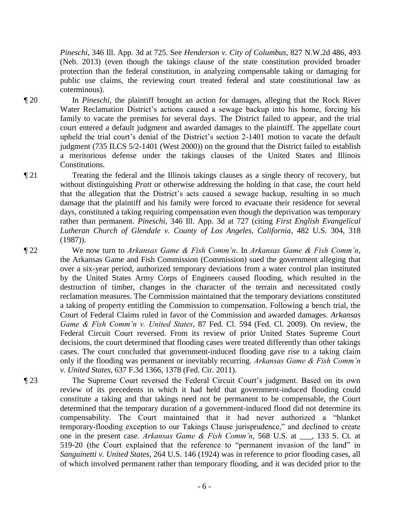*Pineschi*, 346 Ill. App. 3d at 725. See *Henderson v. City of Columbus*, 827 N.W.2d 486, 493 (Neb. 2013) (even though the takings clause of the state constitution provided broader protection than the federal constitution, in analyzing compensable taking or damaging for public use claims, the reviewing court treated federal and state constitutional law as coterminous).

¶ 20 In *Pineschi*, the plaintiff brought an action for damages, alleging that the Rock River Water Reclamation District's actions caused a sewage backup into his home, forcing his family to vacate the premises for several days. The District failed to appear, and the trial court entered a default judgment and awarded damages to the plaintiff. The appellate court upheld the trial court's denial of the District's section 2-1401 motion to vacate the default judgment (735 ILCS 5/2-1401 (West 2000)) on the ground that the District failed to establish a meritorious defense under the takings clauses of the United States and Illinois Constitutions.

¶ 21 Treating the federal and the Illinois takings clauses as a single theory of recovery, but without distinguishing *Pratt* or otherwise addressing the holding in that case, the court held that the allegation that the District's acts caused a sewage backup, resulting in so much damage that the plaintiff and his family were forced to evacuate their residence for several days, constituted a taking requiring compensation even though the deprivation was temporary rather than permanent. *Pineschi*, 346 Ill. App. 3d at 727 (citing *First English Evangelical Lutheran Church of Glendale v. County of Los Angeles, California*, 482 U.S. 304, 318 (1987)).

¶ 22 We now turn to *Arkansas Game & Fish Comm'n*. In *Arkansas Game & Fish Comm'n*, the Arkansas Game and Fish Commission (Commission) sued the government alleging that over a six-year period, authorized temporary deviations from a water control plan instituted by the United States Army Corps of Engineers caused flooding, which resulted in the destruction of timber, changes in the character of the terrain and necessitated costly reclamation measures. The Commission maintained that the temporary deviations constituted a taking of property entitling the Commission to compensation. Following a bench trial, the Court of Federal Claims ruled in favor of the Commission and awarded damages. *Arkansas Game & Fish Comm'n v. United States*, 87 Fed. Cl. 594 (Fed. Cl. 2009). On review, the Federal Circuit Court reversed. From its review of prior United States Supreme Court decisions, the court determined that flooding cases were treated differently than other takings cases. The court concluded that government-induced flooding gave rise to a taking claim only if the flooding was permanent or inevitably recurring. *Arkansas Game & Fish Comm'n v. United States*, 637 F.3d 1366, 1378 (Fed. Cir. 2011).

¶ 23 The Supreme Court reversed the Federal Circuit Court's judgment. Based on its own review of its precedents in which it had held that government-induced flooding could constitute a taking and that takings need not be permanent to be compensable, the Court determined that the temporary duration of a government-induced flood did not determine its compensability. The Court maintained that it had never authorized a "blanket temporary-flooding exception to our Takings Clause jurisprudence," and declined to create one in the present case. *Arkansas Game & Fish Comm'n*, 568 U.S. at \_\_\_, 133 S. Ct. at 519-20 (the Court explained that the reference to "permanent invasion of the land" in *Sanguinetti v. United States*, 264 U.S. 146 (1924) was in reference to prior flooding cases, all of which involved permanent rather than temporary flooding, and it was decided prior to the

- 6 -